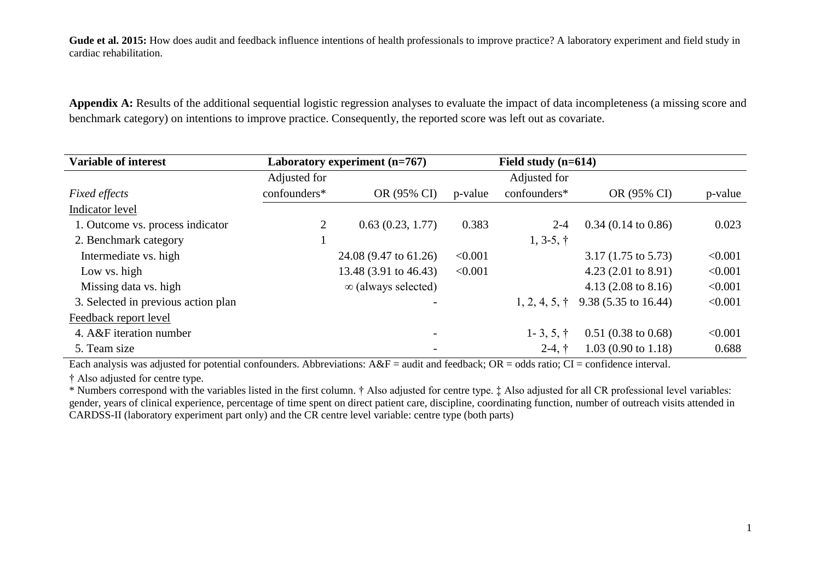Gude et al. 2015: How does audit and feedback influence intentions of health professionals to improve practice? A laboratory experiment and field study in cardiac rehabilitation.

**Appendix A:** Results of the additional sequential logistic regression analyses to evaluate the impact of data incompleteness (a missing score and benchmark category) on intentions to improve practice. Consequently, the reported score was left out as covariate.

| <b>Variable of interest</b>         | Laboratory experiment (n=767) |                            | Field study $(n=614)$ |                       |                                |         |
|-------------------------------------|-------------------------------|----------------------------|-----------------------|-----------------------|--------------------------------|---------|
|                                     | Adjusted for                  |                            |                       | Adjusted for          |                                |         |
| <b>Fixed effects</b>                | confounders*                  | OR (95% CI)                | p-value               | confounders*          | OR (95% CI)                    | p-value |
| Indicator level                     |                               |                            |                       |                       |                                |         |
| 1. Outcome vs. process indicator    | $\overline{2}$                | 0.63(0.23, 1.77)           | 0.383                 | $2 - 4$               | $0.34$ (0.14 to 0.86)          | 0.023   |
| 2. Benchmark category               |                               |                            |                       | $1, 3-5, \dagger$     |                                |         |
| Intermediate vs. high               |                               | 24.08 (9.47 to 61.26)      | < 0.001               |                       | $3.17(1.75 \text{ to } 5.73)$  | < 0.001 |
| Low vs. high                        |                               | 13.48 (3.91 to 46.43)      | < 0.001               |                       | 4.23 $(2.01 \text{ to } 8.91)$ | < 0.001 |
| Missing data vs. high               |                               | $\infty$ (always selected) |                       |                       | 4.13 $(2.08 \text{ to } 8.16)$ | < 0.001 |
| 3. Selected in previous action plan |                               |                            |                       | $1, 2, 4, 5, \dagger$ | $9.38(5.35 \text{ to } 16.44)$ | < 0.001 |
| Feedback report level               |                               |                            |                       |                       |                                |         |
| 4. A&F iteration number             |                               | $\overline{\phantom{a}}$   |                       | $1 - 3, 5, \dagger$   | $0.51(0.38 \text{ to } 0.68)$  | < 0.001 |
| 5. Team size                        |                               | $\overline{\phantom{a}}$   |                       | $2-4, \dagger$        | $1.03(0.90 \text{ to } 1.18)$  | 0.688   |

Each analysis was adjusted for potential confounders. Abbreviations:  $A\&F =$  audit and feedback;  $OR =$  odds ratio;  $CI =$  confidence interval.

† Also adjusted for centre type.

\* Numbers correspond with the variables listed in the first column. † Also adjusted for centre type. ‡ Also adjusted for all CR professional level variables: gender, years of clinical experience, percentage of time spent on direct patient care, discipline, coordinating function, number of outreach visits attended in CARDSS-II (laboratory experiment part only) and the CR centre level variable: centre type (both parts)